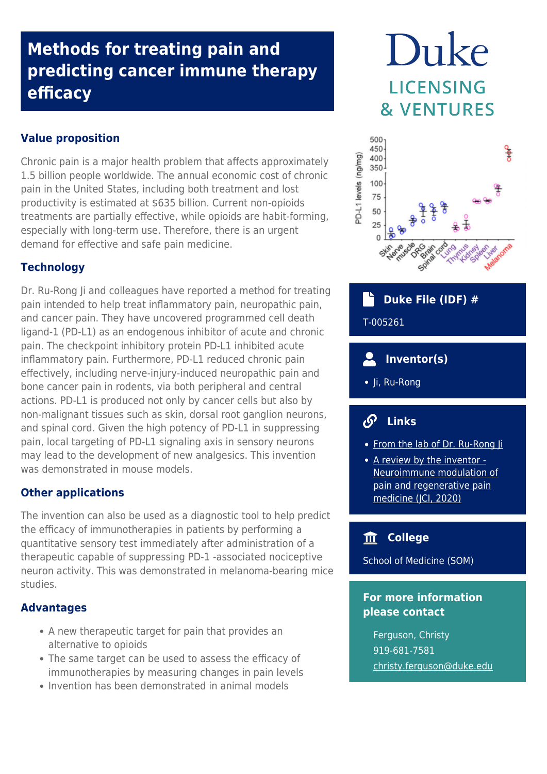# **Methods for treating pain and predicting cancer immune therapy efficacy**

### **Value proposition**

Chronic pain is a major health problem that affects approximately 1.5 billion people worldwide. The annual economic cost of chronic pain in the United States, including both treatment and lost productivity is estimated at \$635 billion. Current non-opioids treatments are partially effective, while opioids are habit-forming, especially with long-term use. Therefore, there is an urgent demand for effective and safe pain medicine.

# **Technology**

Dr. Ru-Rong Ji and colleagues have reported a method for treating pain intended to help treat inflammatory pain, neuropathic pain, and cancer pain. They have uncovered programmed cell death ligand-1 (PD-L1) as an endogenous inhibitor of acute and chronic pain. The checkpoint inhibitory protein PD-L1 inhibited acute inflammatory pain. Furthermore, PD-L1 reduced chronic pain effectively, including nerve-injury-induced neuropathic pain and bone cancer pain in rodents, via both peripheral and central actions. PD-L1 is produced not only by cancer cells but also by non-malignant tissues such as skin, dorsal root ganglion neurons, and spinal cord. Given the high potency of PD-L1 in suppressing pain, local targeting of PD-L1 signaling axis in sensory neurons may lead to the development of new analgesics. This invention was demonstrated in mouse models.

#### **Other applications**

The invention can also be used as a diagnostic tool to help predict the efficacy of immunotherapies in patients by performing a quantitative sensory test immediately after administration of a therapeutic capable of suppressing PD-1 -associated nociceptive neuron activity. This was demonstrated in melanoma-bearing mice studies.

#### **Advantages**

- A new therapeutic target for pain that provides an alternative to opioids
- The same target can be used to assess the efficacy of immunotherapies by measuring changes in pain levels
- Invention has been demonstrated in animal models

# Duke LICENSING **& VENTURES**



 **Duke File (IDF) #**

T-005261

- **Inventor(s)**
- Ji, Ru-Rong

# **Links**

- From the lab of Dr. Ru-Rong li
- [A review by the inventor -](https://www.jci.org/articles/view/134439) [Neuroimmune modulation of](https://www.jci.org/articles/view/134439) [pain and regenerative pain](https://www.jci.org/articles/view/134439) [medicine \(JCI, 2020\)](https://www.jci.org/articles/view/134439)

# **College**

School of Medicine (SOM)

## **For more information please contact**

Ferguson, Christy 919-681-7581 [christy.ferguson@duke.edu](mailto:christy.ferguson@duke.edu)